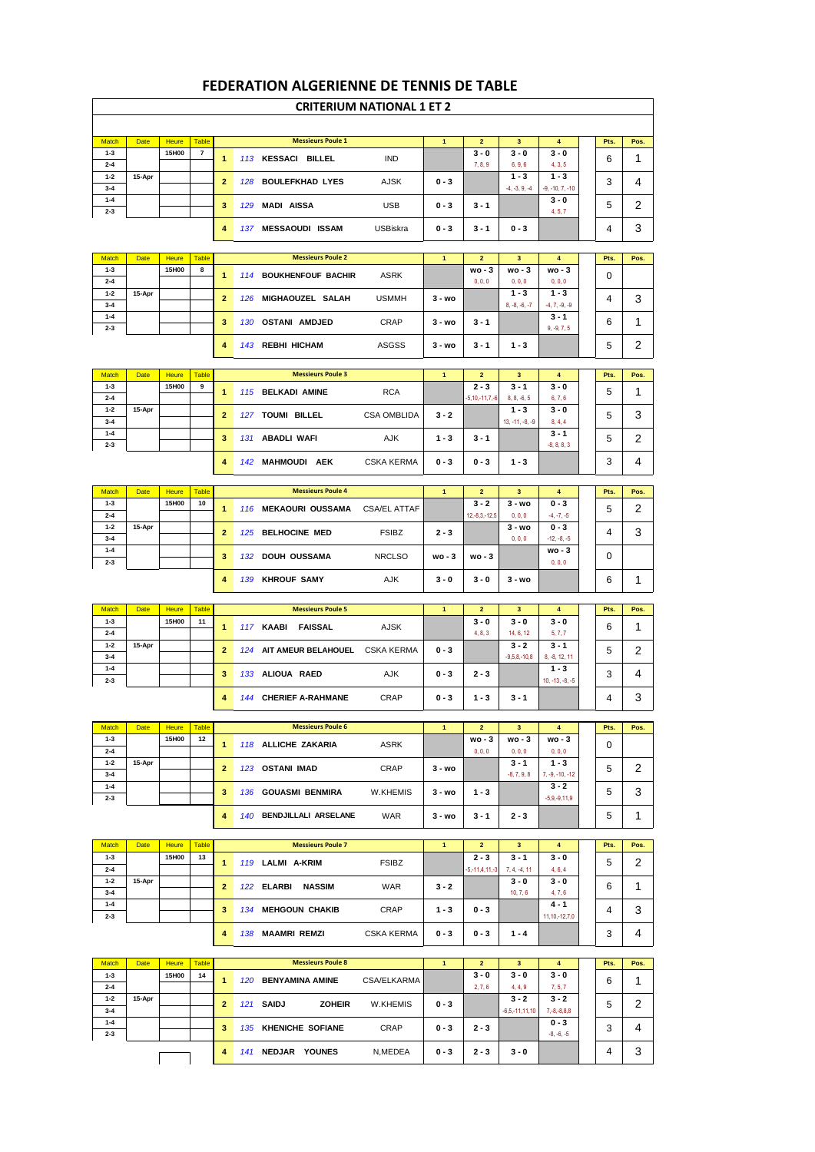|                         |             |                       |                                |                |     |                                    | <b>CRITERIUM NATIONAL 1 ET 2</b> |                |                                 |                            |                              |      |      |
|-------------------------|-------------|-----------------------|--------------------------------|----------------|-----|------------------------------------|----------------------------------|----------------|---------------------------------|----------------------------|------------------------------|------|------|
|                         |             |                       |                                |                |     |                                    |                                  |                |                                 |                            |                              |      |      |
| <b>Match</b><br>$1 - 3$ | <b>Date</b> | <b>Heure</b><br>15H00 | <b>Table</b><br>$\overline{7}$ |                |     | <b>Messieurs Poule 1</b>           |                                  | $\mathbf{1}$   | $\overline{2}$<br>$3 - 0$       | 3<br>$3 - 0$               | 4<br>$3 - 0$                 | Pts. | Pos. |
| $2 - 4$                 |             |                       |                                | $\mathbf{1}$   |     | 113 KESSACI BILLEL                 | <b>IND</b>                       |                | 7, 8, 9                         | 6, 9, 6                    | 4, 3, 5                      | 6    | 1    |
| $1 - 2$<br>$3 - 4$      | 15-Apr      |                       |                                | $\overline{2}$ |     | 128 BOULEFKHAD LYES                | <b>AJSK</b>                      | $0 - 3$        |                                 | $1 - 3$<br>$-4, -3, 9, -4$ | $1 - 3$<br>$-9, -10, 7, -10$ | 3    | 4    |
| $1 - 4$                 |             |                       |                                | 3              | 129 | <b>MADI AISSA</b>                  | <b>USB</b>                       | $0 - 3$        | $3 - 1$                         |                            | $3 - 0$                      | 5    | 2    |
| $2 - 3$                 |             |                       |                                | 4              |     | 137 MESSAOUDI ISSAM                | USBiskra                         | $0 - 3$        | $3 - 1$                         | $0 - 3$                    | 4, 5, 7                      | 4    | 3    |
|                         |             |                       |                                |                |     |                                    |                                  |                |                                 |                            |                              |      |      |
| <b>Match</b>            | <b>Date</b> | <b>Heure</b>          | <b>Table</b>                   |                |     | <b>Messieurs Poule 2</b>           |                                  | $\mathbf{1}$   | $\overline{2}$                  | 3                          | $\overline{\mathbf{4}}$      | Pts. | Pos. |
| $1 - 3$<br>$2 - 4$      |             | 15H00                 | 8                              | $\mathbf{1}$   |     | 114 BOUKHENFOUF BACHIR             | ASRK                             |                | $wo - 3$<br>0, 0, 0             | $wo - 3$<br>0, 0, 0        | wo - 3<br>0, 0, 0            | 0    |      |
| $1 - 2$                 | 15-Apr      |                       |                                | $\overline{2}$ |     | 126 MIGHAOUZEL SALAH               | <b>USMMH</b>                     | $3 - w$ o      |                                 | $1 - 3$                    | $1 - 3$                      | 4    | 3    |
| $3 - 4$<br>$1 - 4$      |             |                       |                                | 3              |     | 130 OSTANI AMDJED                  | CRAP                             | $3 - wo$       | $3 - 1$                         | $8, -8, -6, -7$            | $-4, 7, -9, -9$<br>$3 - 1$   | 6    | 1    |
| $2 - 3$                 |             |                       |                                |                |     |                                    |                                  |                |                                 |                            | $9, -9, 7, 5$                |      |      |
|                         |             |                       |                                | 4              |     | 143 REBHI HICHAM                   | <b>ASGSS</b>                     | $3 - wo$       | $3 - 1$                         | $1 - 3$                    |                              | 5    | 2    |
| <b>Match</b>            | <b>Date</b> | <b>Heure</b>          | <b>Table</b>                   |                |     | <b>Messieurs Poule 3</b>           |                                  | $\mathbf{1}$   | $\overline{2}$                  | 3                          | $\overline{\mathbf{4}}$      | Pts. | Pos. |
| $1 - 3$<br>$2 - 4$      |             | 15H00                 | 9                              | $\mathbf{1}$   |     | 115 BELKADI AMINE                  | <b>RCA</b>                       |                | $2 - 3$<br>$-5, 10, -11, 7, -6$ | $3 - 1$<br>$8, 8, -6, 5$   | $3 - 0$<br>6, 7, 6           | 5    | 1    |
| $1 - 2$                 | 15-Apr      |                       |                                | $\overline{2}$ |     | 127 TOUMI BILLEL                   | <b>CSA OMBLIDA</b>               | $3 - 2$        |                                 | $1 - 3$                    | $3 - 0$                      | 5    | 3    |
| $3 - 4$<br>$1 - 4$      |             |                       |                                |                |     |                                    |                                  |                |                                 | $13, -11, -8, -9$          | 8, 4, 4<br>$3 - 1$           |      |      |
| $2 - 3$                 |             |                       |                                | 3              |     | 131 ABADLI WAFI                    | AJK                              | $1 - 3$        | $3 - 1$                         |                            | $-8, 8, 8, 3$                | 5    | 2    |
|                         |             |                       |                                | 4              |     | 142 MAHMOUDI AEK                   | <b>CSKA KERMA</b>                | $0 - 3$        | $0 - 3$                         | $1 - 3$                    |                              | 3    | 4    |
| <b>Match</b>            | <b>Date</b> | <b>Heure</b>          | <b>Table</b>                   |                |     | <b>Messieurs Poule 4</b>           |                                  | $\mathbf{1}$   | $\overline{2}$                  | 3                          | $\overline{\mathbf{4}}$      | Pts. | Pos. |
| $1 - 3$                 |             | 15H00                 | 10                             | $\mathbf{1}$   |     | 116 MEKAOURI OUSSAMA               | <b>CSA/EL ATTAF</b>              |                | $3 - 2$                         | $3 - wo$                   | $0 - 3$                      | 5    | 2    |
| $2 - 4$<br>$1 - 2$      | 15-Apr      |                       |                                | $\overline{2}$ |     | 125 BELHOCINE MED                  | <b>FSIBZ</b>                     | $2 - 3$        | $12,-8,3,-12,5$                 | 0, 0, 0<br>$3 - wo$        | $-4, -7, -5$<br>$0 - 3$      | 4    |      |
| $3 - 4$<br>$1 - 4$      |             |                       |                                |                |     |                                    |                                  |                |                                 | 0, 0, 0                    | $-12, -8, -5$<br>wo - 3      |      | 3    |
| $2 - 3$                 |             |                       |                                | 3              |     | 132 DOUH OUSSAMA                   | <b>NRCLSO</b>                    | $wo - 3$       | $wo - 3$                        |                            | 0, 0, 0                      | 0    |      |
|                         |             |                       |                                | 4              |     | 139 KHROUF SAMY                    | AJK                              | $3 - 0$        | $3 - 0$                         | $3 - wo$                   |                              | 6    | 1    |
| <b>Match</b>            | <b>Date</b> | <b>Heure</b>          | <b>Table</b>                   |                |     | <b>Messieurs Poule 5</b>           |                                  | $\mathbf{1}$   | $\overline{2}$                  | 3                          | $\overline{\mathbf{4}}$      | Pts. | Pos. |
| $1 - 3$                 |             | 15H00                 | 11                             | $\mathbf{1}$   |     | 117 KAABI<br><b>FAISSAL</b>        | AJSK                             |                | $3 - 0$                         | $3 - 0$                    | 3 - 0                        | 6    | 1    |
| $2 - 4$<br>$1 - 2$      | 15-Apr      |                       |                                | $\overline{2}$ |     | 124 AIT AMEUR BELAHOUEL CSKA KERMA |                                  | $0 - 3$        | 4, 8, 3                         | 14, 6, 12<br>$3 - 2$       | 5, 7, 7<br>$3 - 1$           | 5    | 2    |
| $3 - 4$<br>$1 - 4$      |             |                       |                                |                |     |                                    |                                  |                |                                 | $-9,5,8,-10,8$             | 8, -8, 12, 11<br>$1 - 3$     |      |      |
| $2 - 3$                 |             |                       |                                | 3              |     | 133 ALIOUA RAED                    | AJK                              | $0 - 3$        | $2 - 3$                         |                            | $10, -13, -8, -5$            | 3    | 4    |
|                         |             |                       |                                | 4              |     | 144 CHERIEF A-RAHMANE              | CRAP                             | $0 - 3$        | $1 - 3$                         | $3 - 1$                    |                              | 4    | 3    |
| <b>Match</b>            | <b>Date</b> | <b>Heure</b>          | <b>Table</b>                   |                |     | <b>Messieurs Poule 6</b>           |                                  | $\overline{1}$ | $\overline{2}$                  | 3                          | 4                            | Pts. | Pos. |
| $1 - 3$                 |             | 15H00                 | 12                             | $\mathbf{1}$   |     | 118 ALLICHE ZAKARIA                | <b>ASRK</b>                      |                | wo - 3                          | $wo - 3$                   | wo - 3                       | 0    |      |
| $2 - 4$<br>$1 - 2$      | 15-Apr      |                       |                                | $\overline{2}$ |     | 123 OSTANI IMAD                    | <b>CRAP</b>                      | $3 - wo$       | 0, 0, 0                         | 0, 0, 0<br>$3 - 1$         | 0, 0, 0<br>$1 - 3$           | 5    | 2    |
| $3 - 4$<br>$1 - 4$      |             |                       |                                |                |     |                                    |                                  |                |                                 | $-8, 7, 9, 8$              | $7, -9, -10, -12$<br>$3 - 2$ |      |      |
| $2 - 3$                 |             |                       |                                | 3              |     | 136 GOUASMI BENMIRA                | W.KHEMIS                         | $3 - wo$       | $1 - 3$                         |                            | $-5,9,-9,11,9$               | 5    | 3    |
|                         |             |                       |                                | 4              |     | 140 BENDJILLALI ARSELANE           | <b>WAR</b>                       | 3 - wo         | $3 - 1$                         | $2 - 3$                    |                              | 5    | 1    |
| <b>Match</b>            | <b>Date</b> | <b>Heure</b>          | <b>Table</b>                   |                |     | <b>Messieurs Poule 7</b>           |                                  | $\mathbf{1}$   | $\overline{2}$                  | $\mathbf{3}$               | $\overline{\mathbf{4}}$      | Pts. | Pos. |
| $1 - 3$                 |             | 15H00                 | 13                             | 1              |     | 119 LALMI A-KRIM                   | <b>FSIBZ</b>                     |                | $2 - 3$                         | $3 - 1$                    | $3 - 0$                      | 5    | 2    |
| $2 - 4$<br>$1 - 2$      | 15-Apr      |                       |                                |                |     |                                    |                                  |                | $-5, -11, 4, 11, -3$            | $7, 4, -4, 11$<br>$3 - 0$  | 4, 6, 4<br>3 - 0             |      |      |
| $3 - 4$<br>$1 - 4$      |             |                       |                                | $\mathbf{2}$   |     | 122 ELARBI<br>NASSIM               | WAR                              | $3 - 2$        |                                 | 10, 7, 6                   | 4, 7, 6<br>$4 - 1$           | 6    | 1    |
| $2 - 3$                 |             |                       |                                | 3              | 134 | <b>MEHGOUN CHAKIB</b>              | CRAP                             | $1 - 3$        | $0 - 3$                         |                            | $11, 10, -12, 7, 0$          | 4    | 3    |
|                         |             |                       |                                | 4              |     | 138 MAAMRI REMZI                   | <b>CSKA KERMA</b>                | $0 - 3$        | $0 - 3$                         | $1 - 4$                    |                              | 3    | 4    |
| <b>Match</b>            | Date        | <b>Heure</b>          | <b>Table</b>                   |                |     | <b>Messieurs Poule 8</b>           |                                  | $\mathbf{1}$   | $\overline{2}$                  | $\mathbf{3}$               | $\overline{\mathbf{4}}$      | Pts. | Pos. |
| $1 - 3$                 |             | 15H00                 | 14                             | $\mathbf{1}$   |     | 120 BENYAMINA AMINE                | CSA/ELKARMA                      |                | $3 - 0$                         | $3 - 0$                    | 3 - 0                        | 6    | 1    |
| $2 - 4$<br>$1 - 2$      | 15-Apr      |                       |                                |                |     |                                    |                                  |                | 2, 7, 6                         | 4, 4, 9<br>$3 - 2$         | 7, 5, 7<br>$3 - 2$           |      |      |
| $3 - 4$                 |             |                       |                                | $\mathbf{2}$   |     | 121 SAIDJ<br><b>ZOHEIR</b>         | W.KHEMIS                         | $0 - 3$        |                                 | $-6,5,-11,11,10$           | $7,-8,-8,8,8$                | 5    | 2    |
| $1 - 4$<br>$2 - 3$      |             |                       |                                | 3              |     | 135 KHENICHE SOFIANE               | CRAP                             | $0 - 3$        | $2 - 3$                         |                            | $0 - 3$<br>$-8, -6, -5$      | 3    | 4    |
|                         |             |                       |                                | 4              |     | 141 NEDJAR YOUNES                  | N,MEDEA                          | $0 - 3$        | $2 - 3$                         | $3 - 0$                    |                              | 4    | 3    |
|                         |             |                       |                                |                |     |                                    |                                  |                |                                 |                            |                              |      |      |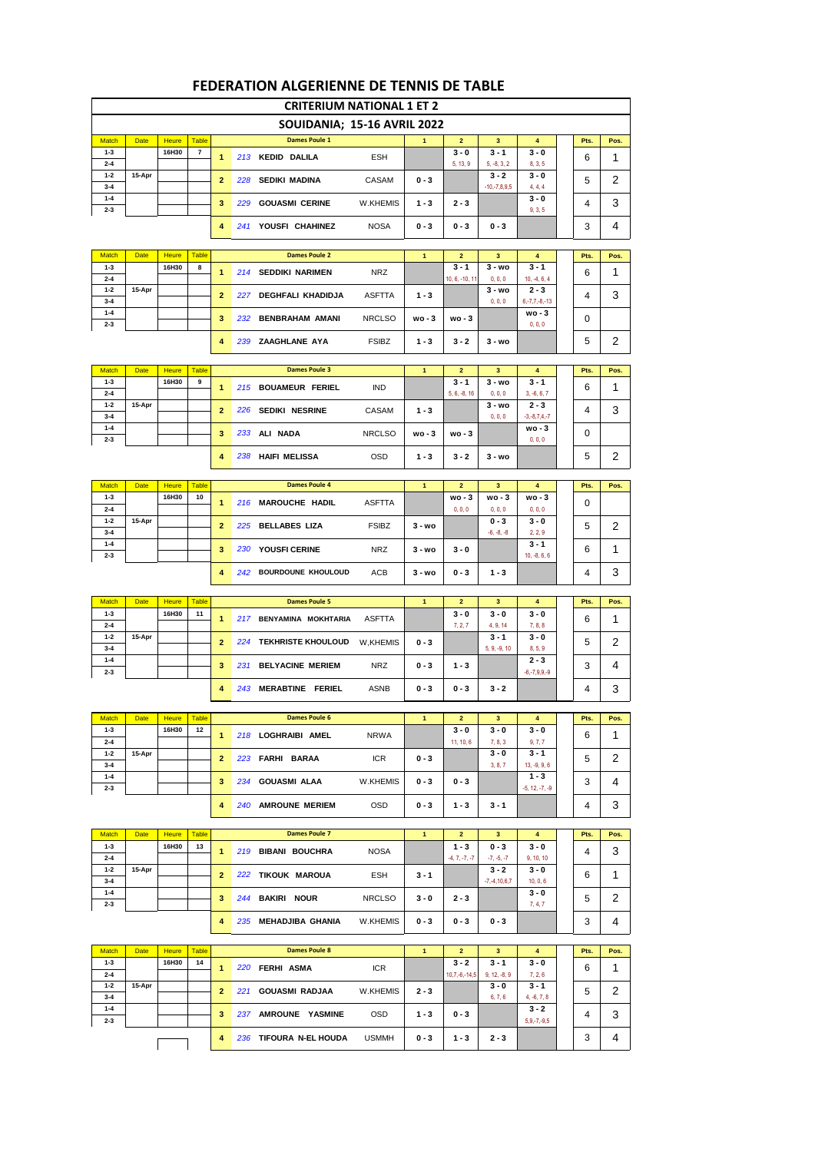| <b>CRITERIUM NATIONAL 1 ET 2</b> |             |                       |                   |                |     |                             |               |              |                           |                           |                           |  |           |           |
|----------------------------------|-------------|-----------------------|-------------------|----------------|-----|-----------------------------|---------------|--------------|---------------------------|---------------------------|---------------------------|--|-----------|-----------|
|                                  |             |                       |                   |                |     | SOUIDANIA; 15-16 AVRIL 2022 |               |              |                           |                           |                           |  |           |           |
| <b>Match</b>                     | <b>Date</b> | <b>Heure</b>          | <b>Table</b>      |                |     | <b>Dames Poule 1</b>        |               | 1            | $\overline{2}$            | 3                         | 4                         |  | Pts.      | Pos.      |
| $1 - 3$                          |             | 16H30                 | 7                 | 1              |     | 213 KEDID DALILA            | <b>ESH</b>    |              | $3 - 0$                   | $3 - 1$<br>$5, -8, 3, 2$  | $3 - 0$                   |  | 6         | 1         |
| $2 - 4$<br>$1 - 2$               | 15-Apr      |                       |                   | $\overline{2}$ | 228 | SEDIKI MADINA               | CASAM         | $0 - 3$      | 5, 13, 9                  | $3 - 2$                   | 8, 3, 5<br>$3 - 0$        |  | 5         | 2         |
| $3 - 4$<br>$1 - 4$               |             |                       |                   |                |     |                             |               |              |                           | $-10,-7,8,9,5$            | 4, 4, 4<br>$3 - 0$        |  |           |           |
| $2 - 3$                          |             |                       |                   | 3              | 229 | <b>GOUASMI CERINE</b>       | W.KHEMIS      | $1 - 3$      | $2 - 3$                   |                           | 9, 3, 5                   |  | 4         | 3         |
|                                  |             |                       |                   | 4              |     | 241 YOUSFI CHAHINEZ         | <b>NOSA</b>   | $0 - 3$      | $0 - 3$                   | $0 - 3$                   |                           |  | 3         | 4         |
|                                  |             |                       |                   |                |     | <b>Dames Poule 2</b>        |               |              |                           |                           |                           |  |           |           |
| <b>Match</b><br>$1 - 3$          | <b>Date</b> | <b>Heure</b><br>16H30 | <b>Table</b><br>8 | 1              |     | 214 SEDDIKI NARIMEN         | <b>NRZ</b>    | $\mathbf{1}$ | $\overline{2}$<br>$3 - 1$ | 3<br>$3 - wo$             | 4<br>$3 - 1$              |  | Pts.<br>6 | Pos.<br>1 |
| $2 - 4$<br>$1 - 2$               | 15-Apr      |                       |                   |                |     |                             |               |              | 10, 6, -10, 11            | 0, 0, 0<br>$3 - wo$       | $10, -4, 6, 4$<br>$2 - 3$ |  |           |           |
| $3 - 4$                          |             |                       |                   | $\overline{2}$ | 227 | <b>DEGHFALI KHADIDJA</b>    | ASFTTA        | 1 - 3        |                           | 0, 0, 0                   | $6, -7, 7, -8, -13$       |  | 4         | 3         |
| $1 - 4$<br>$2 - 3$               |             |                       |                   | 3              | 232 | <b>BENBRAHAM AMANI</b>      | <b>NRCLSO</b> | wo - 3       | $wo - 3$                  |                           | $wo-3$<br>0, 0, 0         |  | 0         |           |
|                                  |             |                       |                   | 4              |     | 239 ZAAGHLANE AYA           | <b>FSIBZ</b>  | $1 - 3$      | $3 - 2$                   | $3 - wo$                  |                           |  | 5         | 2         |
|                                  |             |                       |                   |                |     |                             |               |              |                           |                           |                           |  |           |           |
| <b>Match</b><br>$1 - 3$          | <b>Date</b> | <b>Heure</b><br>16H30 | <b>Table</b><br>9 |                |     | <b>Dames Poule 3</b>        |               | $\mathbf{1}$ | $\overline{2}$<br>$3 - 1$ | 3<br>$3 - wo$             | 4<br>$3 - 1$              |  | Pts.      | Pos.      |
| $2 - 4$                          |             |                       |                   | 1              |     | 215 BOUAMEUR FERIEL         | IND           |              | $5, 6, -8, 16$            | 0, 0, 0                   | $3, -6, 6, 7$             |  | 6         | 1         |
| $1 - 2$<br>$3 - 4$               | 15-Apr      |                       |                   | $\overline{2}$ | 226 | <b>SEDIKI NESRINE</b>       | CASAM         | 1 - 3        |                           | 3 - wo<br>0, 0, 0         | $2 - 3$<br>$-3,-8,7,4,-7$ |  | 4         | 3         |
| $1 - 4$<br>$2 - 3$               |             |                       |                   | 3              | 233 | ALI NADA                    | <b>NRCLSO</b> | wo - 3       | $wo - 3$                  |                           | $wo - 3$<br>0, 0, 0       |  | 0         |           |
|                                  |             |                       |                   | $\overline{4}$ |     | 238 HAIFI MELISSA           | <b>OSD</b>    | $1 - 3$      | $3 - 2$                   | $3 - wo$                  |                           |  | 5         | 2         |
|                                  |             |                       |                   |                |     |                             |               |              |                           |                           |                           |  |           |           |
| <b>Match</b>                     | <b>Date</b> | <b>Heure</b><br>16H30 | <b>Table</b>      |                |     | <b>Dames Poule 4</b>        |               | 1            | 2                         | 3                         | 4                         |  | Pts.      | Pos.      |
| $1 - 3$<br>$2 - 4$               |             |                       | 10                | 1              |     | 216 MAROUCHE HADIL          | ASFTTA        |              | $wo - 3$<br>0, 0, 0       | wo - 3<br>0, 0, 0         | $wo - 3$<br>0, 0, 0       |  | 0         |           |
| $1 - 2$<br>$3 - 4$               | 15-Apr      |                       |                   | $\overline{2}$ |     | 225 BELLABES LIZA           | <b>FSIBZ</b>  | $3 - wo$     |                           | 0 - 3<br>$-6, -8, -8$     | 3 - 0<br>2, 2, 9          |  | 5         | 2         |
| $1 - 4$                          |             |                       |                   | 3              | 230 | <b>YOUSFI CERINE</b>        | <b>NRZ</b>    | 3 - wo       | $3 - 0$                   |                           | $3 - 1$                   |  | 6         | 1         |
| $2 - 3$                          |             |                       |                   | 4              |     | 242 BOURDOUNE KHOULOUD      | <b>ACB</b>    | $3 - wo$     | $0 - 3$                   | $1 - 3$                   | $10, -8, 6, 6$            |  | 4         | 3         |
|                                  |             |                       |                   |                |     |                             |               |              |                           |                           |                           |  |           |           |
| <b>Match</b>                     | <b>Date</b> | <b>Heure</b>          | <b>Table</b>      |                |     | <b>Dames Poule 5</b>        |               | $\mathbf{1}$ | $\overline{2}$            | 3                         | $\overline{\mathbf{4}}$   |  | Pts.      | Pos.      |
| $1 - 3$<br>$2 - 4$               |             | 16H30                 | 11                | 1              |     | 217 BENYAMINA MOKHTARIA     | ASFTTA        |              | $3 - 0$<br>7, 2, 7        | $3 - 0$<br>4, 9, 14       | $3 - 0$<br>7, 8, 8        |  | 6         | 1         |
| $1 - 2$<br>$3 - 4$               | 15-Apr      |                       |                   | 2              |     | 224 TEKHRISTE KHOULOUD      | W,KHEMIS      | 0 - 3        |                           | $3 - 1$<br>$5.9. -9.10$   | $3 - 0$<br>8, 5, 9        |  | 5         | 2         |
| $1 - 4$                          |             |                       |                   |                |     |                             |               |              |                           |                           |                           |  |           | 4         |
|                                  |             |                       |                   | 3              | 231 | <b>BELYACINE MERIEM</b>     | <b>NRZ</b>    | $0 - 3$      | $1 - 3$                   |                           | $2 - 3$                   |  | 3         |           |
| 4<br>243 MERABTINE FERIEL        |             |                       |                   |                |     |                             |               |              |                           |                           | $-6, -7, 9, 9, -9$        |  |           |           |
| $2 - 3$                          |             |                       |                   |                |     |                             | ASNB          | 0 - 3        | $0 - 3$                   | $3 - 2$                   |                           |  | 4         | 3         |
| <b>Match</b>                     | <b>Date</b> | <b>Heure</b>          | <b>Table</b>      |                |     | <b>Dames Poule 6</b>        |               | $\mathbf{1}$ | $\overline{\mathbf{2}}$   | 3                         | $\overline{\mathbf{4}}$   |  | Pts.      | Pos.      |
| $1 - 3$<br>$2 - 4$               |             | 16H30                 | 12                | 1              |     | 218 LOGHRAIBI AMEL          | <b>NRWA</b>   |              | $3 - 0$<br>11, 10, 6      | $3 - 0$<br>7, 8, 3        | $3 - 0$<br>9, 7, 7        |  | 6         | 1         |
| $1 - 2$                          | 15-Apr      |                       |                   | $\overline{2}$ |     | 223 FARHI BARAA             | ICR           | 0 - 3        |                           | $3 - 0$                   | $3 - 1$                   |  | 5         | 2         |
| $3 - 4$<br>$1 - 4$               |             |                       |                   |                |     |                             |               |              |                           | 3, 8, 7                   | $13, -9, 9, 6$<br>$1 - 3$ |  |           |           |
| $2 - 3$                          |             |                       |                   | 3              |     | 234 GOUASMI ALAA            | W.KHEMIS      | 0 - 3        | $0 - 3$                   |                           | $-5, 12, -7, -9$          |  | 3         | 4         |
|                                  |             |                       |                   | 4              |     | 240 AMROUNE MERIEM          | OSD           | $0 - 3$      | $1 - 3$                   | $3 - 1$                   |                           |  | 4         | 3         |
| <b>Match</b>                     | <b>Date</b> | <b>Heure</b>          | <b>Table</b>      |                |     | <b>Dames Poule 7</b>        |               | 1            | $\mathbf{2}$              | $\mathbf{3}$              | $\overline{4}$            |  | Pts.      | Pos.      |
| $1 - 3$                          |             | 16H30                 | 13                | 1              |     | 219 BIBANI BOUCHRA          | <b>NOSA</b>   |              | $1 - 3$                   | $0 - 3$                   | $3 - 0$                   |  | 4         | 3         |
| $2 - 4$<br>$1 - 2$               | 15-Apr      |                       |                   |                |     |                             |               |              | $-4, 7, -7, -7$           | $-7, -5, -7$<br>3 - 2     | 9, 10, 10<br>$3 - 0$      |  |           |           |
| $3 - 4$                          |             |                       |                   | $\overline{2}$ |     | 222 TIKOUK MAROUA           | ESH           | $3 - 1$      |                           | $-7, -4, 10, 6, 7$        | 10, 0, 6                  |  | 6         | 1         |
| $1 - 4$<br>$2 - 3$               |             |                       |                   | 3              |     | 244 BAKIRI NOUR             | <b>NRCLSO</b> | 3 - 0        | $2 - 3$                   |                           | $3 - 0$<br>7, 4, 7        |  | 5         | 2         |
|                                  |             |                       |                   | 4              |     | 235 MEHADJIBA GHANIA        | W.KHEMIS      | $0 - 3$      | $0 - 3$                   | $0 - 3$                   |                           |  | 3         | 4         |
| <b>Match</b>                     | <b>Date</b> | <b>Heure</b>          | <b>Table</b>      |                |     | <b>Dames Poule 8</b>        |               | $\mathbf{1}$ | $\overline{2}$            |                           | $\overline{\mathbf{4}}$   |  |           |           |
| $1 - 3$                          |             | 16H30                 | 14                | 1              |     |                             |               |              | $3 - 2$                   | $\mathbf{3}$<br>$3 - 1$   | $3 - 0$                   |  | Pts.      | Pos.      |
| $2 - 4$<br>$1 - 2$               | 15-Apr      |                       |                   |                |     | 220 FERHI ASMA              | ICR           |              | $10,7,-6,-14,5$           | $9, 12, -8, 9$<br>$3 - 0$ | 7, 2, 6<br>$3 - 1$        |  | 6         | 1         |
| $3 - 4$                          |             |                       |                   | $\overline{2}$ |     | 221 GOUASMI RADJAA          | W.KHEMIS      | 2 - 3        |                           | 6, 7, 6                   | $4, -6, 7, 8$             |  | 5         | 2         |
| $1 - 4$<br>$2 - 3$               |             |                       |                   | 3              |     | 237 AMROUNE YASMINE         | OSD           | $1 - 3$      | $0 - 3$                   |                           | $3 - 2$<br>$5,9,-7,-9,5$  |  | 4         | 3         |
|                                  |             |                       |                   | 4              |     | 236 TIFOURA N-EL HOUDA      | <b>USMMH</b>  | $0 - 3$      | $1 - 3$                   | $2 - 3$                   |                           |  | 3         | 4         |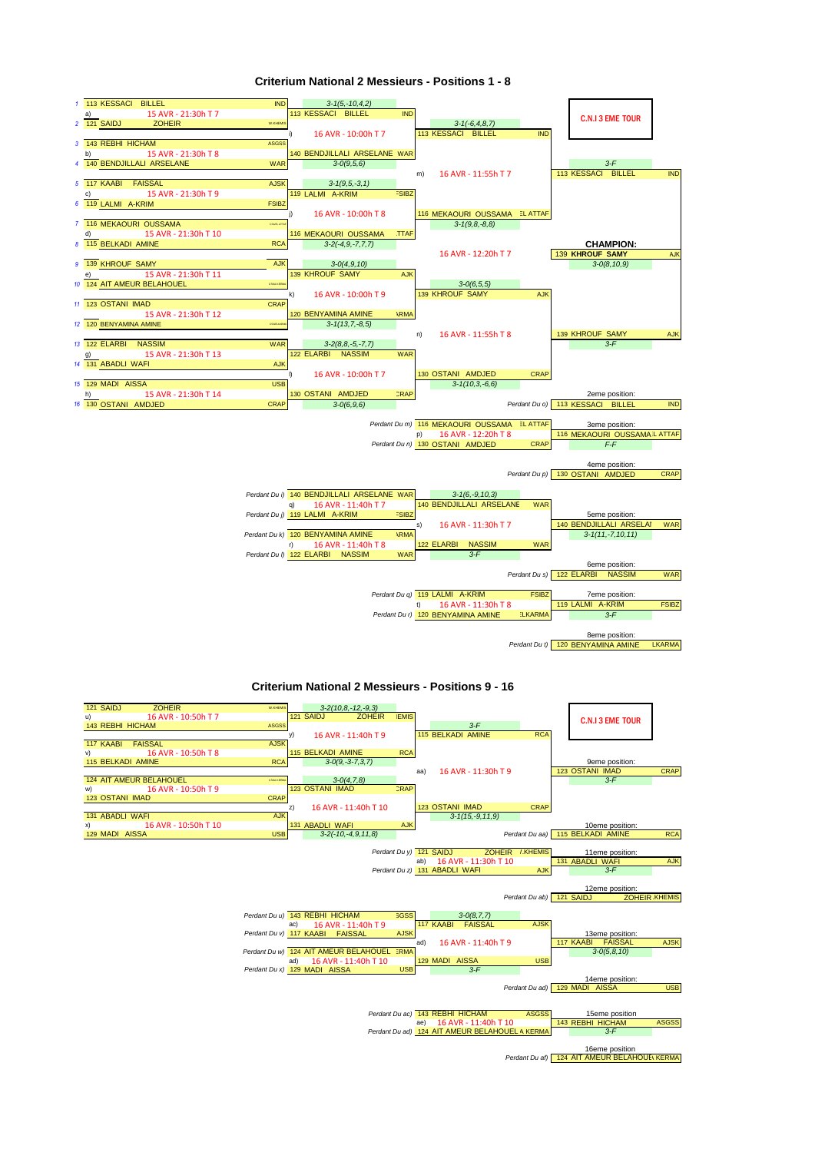

#### **Criterium National 2 Messieurs - Positions 1 - 8**

**Criterium National 2 Messieurs - Positions 9 - 16**

*Perdant Du t)* 120 **BENYAMINA AMINE** LKARMA

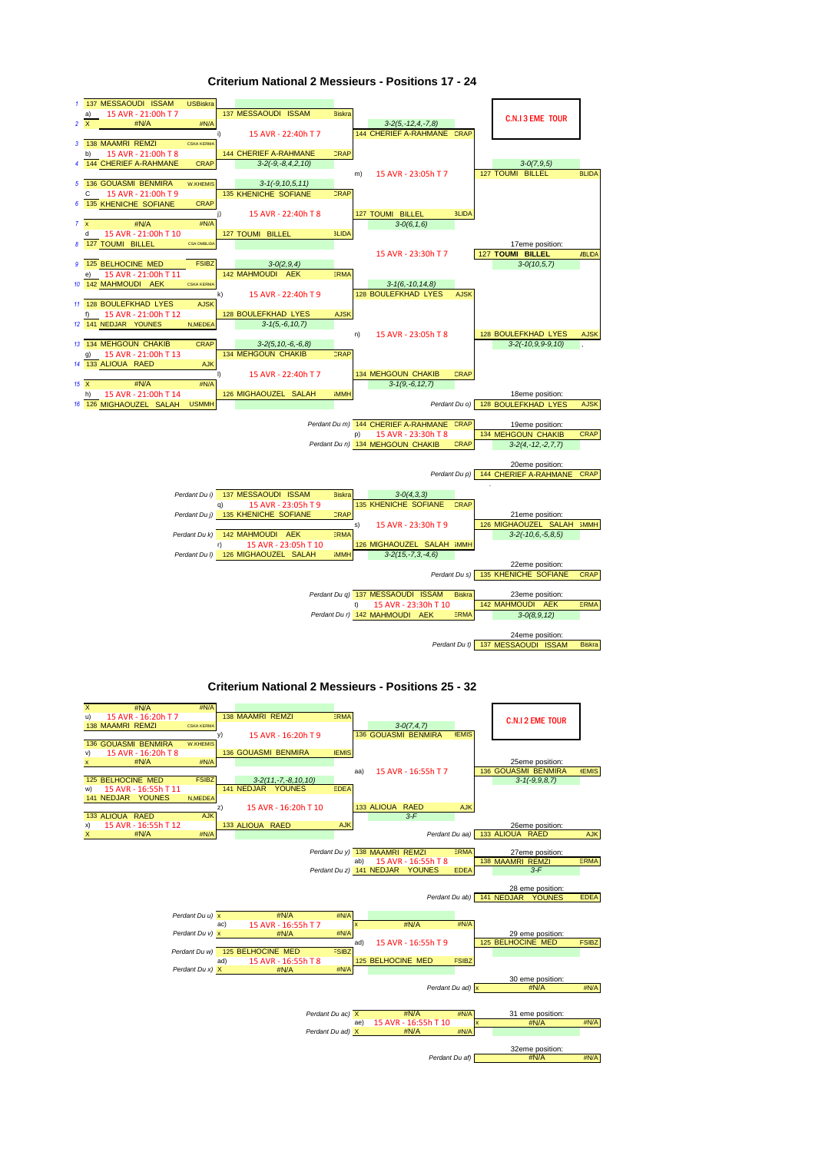

#### Criterium National 2 Messieurs - Positions 17 - 24

#### **Criterium National 2 Messieurs - Positions 25 - 32**

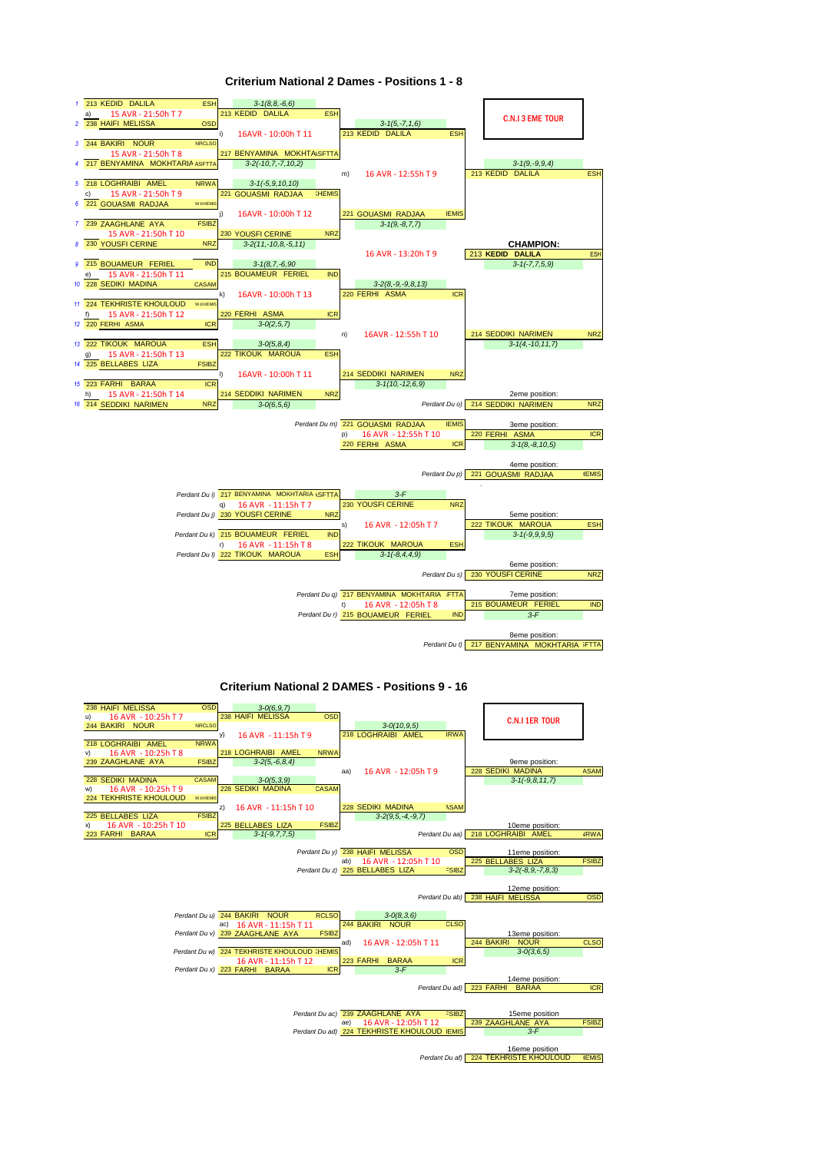

#### **Criterium National 2 Dames - Positions 1 - 8**

#### **Criterium National 2 DAMES - Positions 9 - 16**

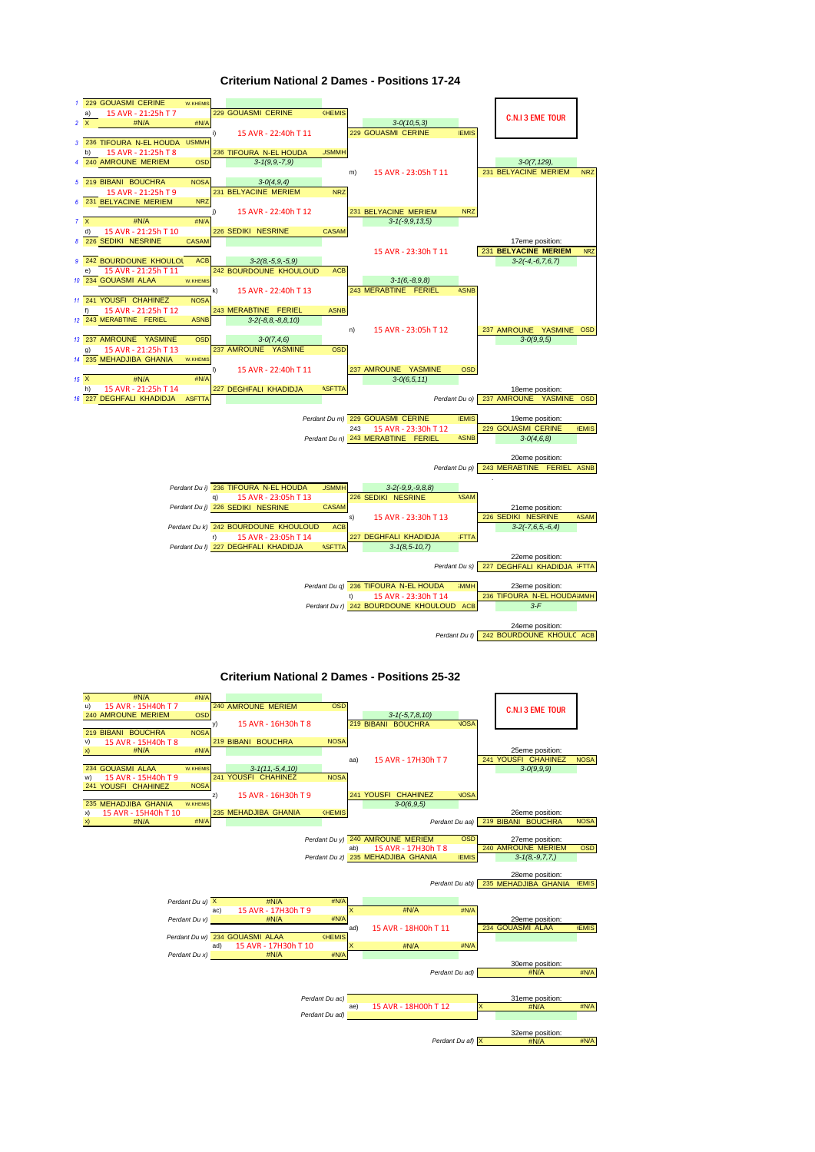

#### **Criterium National 2 Dames - Positions 17-24**

**Criterium National 2 Dames - Positions 25-32** 

| x) | #N/A                 | #N/A            |     |                                  |                      |                |                         |                                    |                  |          |                                     |              |
|----|----------------------|-----------------|-----|----------------------------------|----------------------|----------------|-------------------------|------------------------------------|------------------|----------|-------------------------------------|--------------|
| u) | 15 AVR - 15H40h T 7  |                 |     | 240 AMROUNE MERIEM               |                      | <b>OSD</b>     |                         |                                    |                  |          | <b>C.N.I 3 EME TOUR</b>             |              |
|    | 240 AMROUNE MERIEM   | <b>OSD</b>      |     |                                  |                      |                |                         | $3-1(-5, 7, 8, 10)$                |                  |          |                                     |              |
|    |                      |                 | y)  |                                  | 15 AVR - 16H30h T 8  |                |                         | 219 BIBANI BOUCHRA                 | <b>VOSA</b>      |          |                                     |              |
|    | 219 BIBANI BOUCHRA   | <b>NOSA</b>     |     |                                  |                      |                |                         |                                    |                  |          |                                     |              |
| V) | 15 AVR - 15H40h T 8  |                 |     | 219 BIBANI BOUCHRA               |                      | <b>NOSA</b>    |                         |                                    |                  |          |                                     |              |
| X) | #N/A                 | #N/A            |     |                                  |                      |                |                         |                                    |                  |          | 25eme position:                     |              |
|    |                      |                 |     |                                  |                      |                | aa)                     | 15 AVR - 17H30h T 7                |                  |          | 241 YOUSFI CHAHINEZ                 | <b>NOSA</b>  |
|    | 234 GOUASMI ALAA     | W.KHEMIS        |     |                                  | $3-1(11,-5,4,10)$    |                |                         |                                    |                  |          | $3 - O(9, 9, 9)$                    |              |
| w) | 15 AVR - 15H40h T 9  |                 |     | 241 YOUSFI CHAHINEZ              |                      | <b>NOSA</b>    |                         |                                    |                  |          |                                     |              |
|    | 241 YOUSFI CHAHINEZ  | <b>NOSA</b>     |     |                                  |                      |                |                         |                                    |                  |          |                                     |              |
|    |                      |                 | z)  |                                  | 15 AVR - 16H30h T 9  |                |                         | 241 YOUSFI CHAHINEZ                | <b>VOSA</b>      |          |                                     |              |
|    | 235 MEHADJIBA GHANIA | W.KHEMIS        |     |                                  |                      |                |                         | $3 - 0(6, 9, 5)$                   |                  |          |                                     |              |
| x) | 15 AVR - 15H40h T 10 |                 |     | 235 MEHADJIBA GHANIA             |                      | KHEMIS         |                         |                                    |                  |          | 26eme position:                     |              |
| X) | #N/A                 | #N/A            |     |                                  |                      |                |                         |                                    |                  |          | Perdant Du aa) 219 BIBANI BOUCHRA   | <b>NOSA</b>  |
|    |                      |                 |     |                                  |                      |                |                         |                                    |                  |          |                                     |              |
|    |                      |                 |     |                                  |                      |                |                         | Perdant Du y) 240 AMROUNE MERIEM   | <b>OSD</b>       |          | 27eme position:                     |              |
|    |                      |                 |     |                                  |                      |                | ab)                     | 15 AVR - 17H30h T 8                |                  |          | 240 AMROUNE MERIEM                  | <b>OSD</b>   |
|    |                      |                 |     |                                  |                      |                |                         | Perdant Du z) 235 MEHADJIBA GHANIA | <b>IEMIS</b>     |          | $3-1(8,-9,7,7)$                     |              |
|    |                      |                 |     |                                  |                      |                |                         |                                    |                  |          |                                     |              |
|    |                      |                 |     |                                  |                      |                |                         |                                    |                  |          | 28eme position:                     |              |
|    |                      |                 |     |                                  |                      |                |                         |                                    |                  |          | Perdant Du ab) 235 MEHADJIBA GHANIA | <b>IEMIS</b> |
|    |                      |                 |     |                                  |                      |                |                         |                                    |                  |          |                                     |              |
|    |                      | Perdant Du u) X |     |                                  | #N/A                 | #N/A           |                         |                                    |                  |          |                                     |              |
|    |                      |                 | ac) |                                  | 15 AVR - 17H30h T 9  |                | $\overline{\mathsf{x}}$ | #N/A                               | #N/A             |          |                                     |              |
|    |                      | Perdant Du v)   |     |                                  | #N/A                 | #N/A           |                         |                                    |                  |          | 29eme position:                     |              |
|    |                      |                 |     |                                  |                      |                | ad)                     | 15 AVR - 18H00h T 11               |                  |          | 234 GOUASMI ALAA                    | <b>IEMIS</b> |
|    |                      |                 |     |                                  |                      |                |                         |                                    |                  |          |                                     |              |
|    |                      |                 |     | Perdant Du w) 234 GOUASMI ALAA   |                      | KHEMIS         |                         |                                    |                  |          |                                     |              |
|    |                      |                 | ad) |                                  | 15 AVR - 17H30h T 10 |                | $\mathsf{x}$            | #N/A                               | #N/A             |          |                                     |              |
|    |                      |                 |     | Perdant Du x) <b>Development</b> | #N/A                 | #N/A           |                         |                                    |                  |          |                                     |              |
|    |                      |                 |     |                                  |                      |                |                         |                                    |                  |          | 30eme position:                     |              |
|    |                      |                 |     |                                  |                      |                |                         |                                    | Perdant Du ad)   |          | #N/A                                | #N/A         |
|    |                      |                 |     |                                  |                      |                |                         |                                    |                  |          |                                     |              |
|    |                      |                 |     |                                  |                      |                |                         |                                    |                  |          |                                     |              |
|    |                      |                 |     |                                  |                      | Perdant Du ac) |                         |                                    |                  |          | 31eme position:                     |              |
|    |                      |                 |     |                                  |                      |                | ae)                     | 15 AVR - 18H00h T 12               |                  | $\times$ | #N/A                                | #N/A         |
|    |                      |                 |     |                                  |                      | Perdant Du ad) |                         |                                    |                  |          |                                     |              |
|    |                      |                 |     |                                  |                      |                |                         |                                    |                  |          |                                     |              |
|    |                      |                 |     |                                  |                      |                |                         |                                    | Perdant Du af) X |          | 32eme position:<br>#N/A             | #N/A         |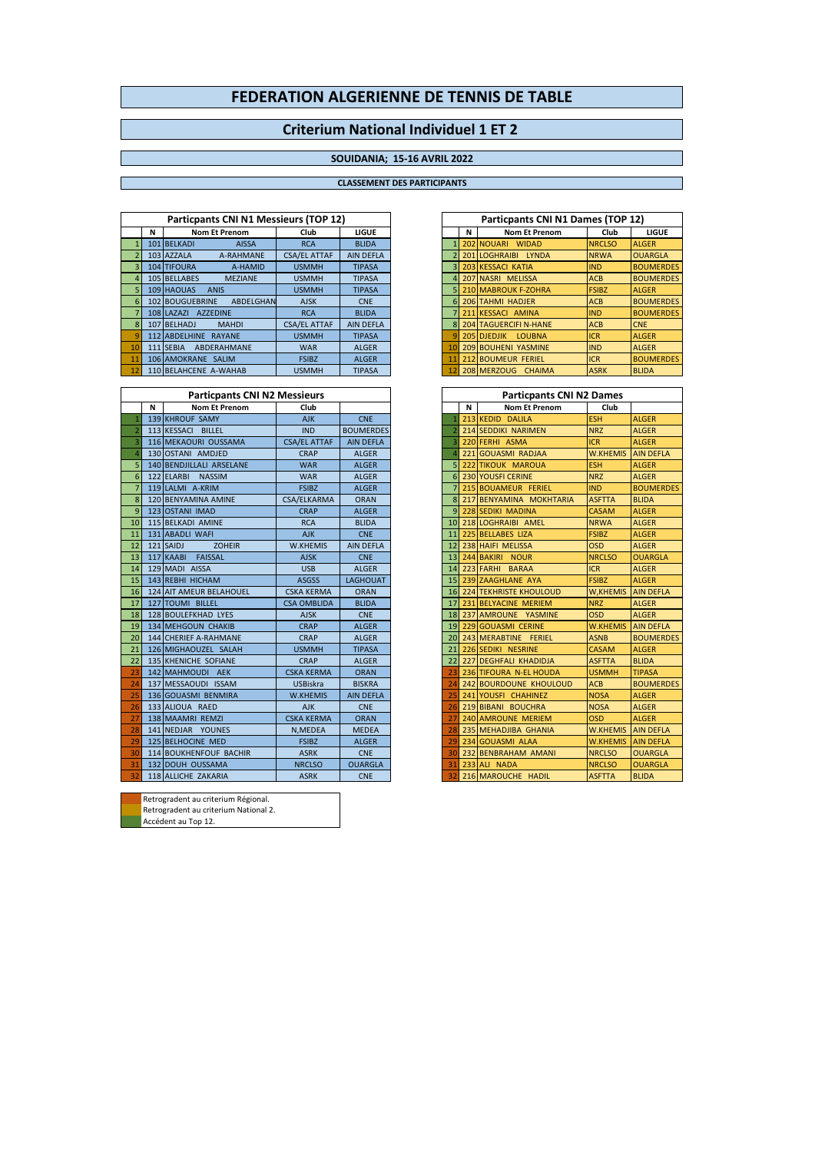## **Criterium National Individuel 1 ET 2**

### **SOUIDANIA; 15-16 AVRIL 2022**

#### **CLASSEMENT DES PARTICIPANTS**

|    |   | Particpants CNI N1 Messieurs (TOP 12) |                     |                  |    |   | Particpants CNI N1 Dames (TOP 12) |               |                  |
|----|---|---------------------------------------|---------------------|------------------|----|---|-----------------------------------|---------------|------------------|
|    | N | <b>Nom Et Prenom</b>                  | Club                | <b>LIGUE</b>     |    | N | <b>Nom Et Prenom</b>              | Club          | <b>LIGUE</b>     |
|    |   | 101 BELKADI<br><b>AISSA</b>           | <b>RCA</b>          | <b>BLIDA</b>     |    |   | 202 NOUARI WIDAD                  | <b>NRCLSO</b> | <b>ALGER</b>     |
|    |   | 103 AZZALA<br>A-RAHMANE               | <b>CSA/EL ATTAF</b> | <b>AIN DEFLA</b> |    |   | 201 LOGHRAIBI LYNDA               | <b>NRWA</b>   | <b>OUARGLA</b>   |
|    |   | 104 TIFOURA<br>A-HAMID                | <b>USMMH</b>        | <b>TIPASA</b>    |    |   | 3 203 KESSACI KATIA               | <b>IND</b>    | <b>BOUMERDES</b> |
|    |   | 105 BELLABES<br><b>MEZIANE</b>        | <b>USMMH</b>        | <b>TIPASA</b>    |    |   | 207 NASRI MELISSA                 | <b>ACB</b>    | <b>BOUMERDES</b> |
|    |   | 109 HAQUAS<br><b>ANIS</b>             | <b>USMMH</b>        | <b>TIPASA</b>    |    |   | 5 210 MABROUK F-ZOHRA             | <b>FSIBZ</b>  | <b>ALGER</b>     |
| 6  |   | 102 BOUGUEBRINE<br>ABDELGHAN          | <b>AJSK</b>         | <b>CNE</b>       |    |   | 6 206 TAHMI HADJER                | <b>ACB</b>    | <b>BOUMERDES</b> |
|    |   | 108 LAZAZI AZZEDINE                   | <b>RCA</b>          | <b>BLIDA</b>     |    |   | 211 KESSACI AMINA                 | <b>IND</b>    | <b>BOUMERDES</b> |
|    |   | 107 BELHADJ<br><b>MAHDI</b>           | <b>CSA/EL ATTAF</b> | <b>AIN DEFLA</b> |    |   | <b>204 TAGUERCIFI N-HANE</b>      | <b>ACB</b>    | <b>CNE</b>       |
|    |   | 112 ABDELHINE RAYANE                  | <b>USMMH</b>        | <b>TIPASA</b>    |    |   | 205 DIFDJIK LOUBNA                | <b>ICR</b>    | <b>ALGER</b>     |
| 10 |   | ABDERAHMANE<br>111 SEBIA              | <b>WAR</b>          | <b>ALGER</b>     | 10 |   | 209 BOUHENI YASMINE               | <b>IND</b>    | <b>ALGER</b>     |
|    |   | 106 AMOKRANE SALIM                    | <b>FSIBZ</b>        | <b>ALGER</b>     |    |   | 11 212 BOUMEUR FERIEL             | <b>ICR</b>    | <b>BOUMERDES</b> |
|    |   | 110 BELAHCENE A-WAHAB                 | <b>USMMH</b>        | <b>TIPASA</b>    |    |   | 12 208 MERZOUG CHAIMA             | <b>ASRK</b>   | <b>BLIDA</b>     |

|    |   | <b>Particpants CNI N2 Messieurs</b> |                     |                  |                 |   | <b>Particpants CNI N2 Dames</b> |                 |                  |
|----|---|-------------------------------------|---------------------|------------------|-----------------|---|---------------------------------|-----------------|------------------|
|    | N | <b>Nom Et Prenom</b>                | Club                |                  |                 | N | <b>Nom Et Prenom</b>            | Club            |                  |
|    |   | 139 KHROUF SAMY                     | <b>AJK</b>          | <b>CNE</b>       |                 |   | 213 KEDID DALILA                | <b>ESH</b>      | <b>ALGER</b>     |
|    |   | 113 KESSACI BILLEL                  | <b>IND</b>          | <b>BOUMERDES</b> |                 |   | 214 SEDDIKI NARIMEN             | <b>NRZ</b>      | <b>ALGER</b>     |
|    |   | 116 MEKAOURI OUSSAMA                | <b>CSA/EL ATTAF</b> | <b>AIN DEFLA</b> |                 |   | 220 FERHI ASMA                  | <b>ICR</b>      | <b>ALGER</b>     |
|    |   | 130 OSTANI AMDJED                   | <b>CRAP</b>         | <b>ALGER</b>     |                 |   | 221 GOUASMI RADJAA              | <b>W.KHEMIS</b> | <b>AIN DEFLA</b> |
| 5  |   | 140 BENDJILLALI ARSELANE            | <b>WAR</b>          | <b>ALGER</b>     |                 |   | 222 TIKOUK MAROUA               | <b>ESH</b>      | <b>ALGER</b>     |
| 6  |   | 122 ELARBI NASSIM                   | <b>WAR</b>          | <b>ALGER</b>     | 61              |   | 230 YOUSFI CERINE               | <b>NRZ</b>      | <b>ALGER</b>     |
|    |   | 119 LALMI A-KRIM                    | <b>FSIBZ</b>        | <b>ALGER</b>     |                 |   | 215 BOUAMEUR FERIEL             | <b>IND</b>      | <b>BOUMERDES</b> |
| 8  |   | 120 BENYAMINA AMINE                 | CSA/ELKARMA         | <b>ORAN</b>      | 8               |   | 217 BENYAMINA MOKHTARIA         | <b>ASFTTA</b>   | <b>BLIDA</b>     |
| 9  |   | 123 OSTANI IMAD                     | <b>CRAP</b>         | <b>ALGER</b>     | 9               |   | 228 SEDIKI MADINA               | <b>CASAM</b>    | <b>ALGER</b>     |
| 10 |   | 115 BELKADI AMINE                   | <b>RCA</b>          | <b>BLIDA</b>     | 10 <sup>1</sup> |   | 218 LOGHRAIBI AMEL              | <b>NRWA</b>     | <b>ALGER</b>     |
| 11 |   | 131 ABADLI WAFI                     | <b>AJK</b>          | <b>CNE</b>       | 11              |   | 225 BELLABES LIZA               | <b>FSIBZ</b>    | <b>ALGER</b>     |
| 12 |   | <b>ZOHEIR</b><br>121 SAIDJ          | <b>W.KHEMIS</b>     | AIN DEFLA        | 12              |   | 238 HAIFI MELISSA               | <b>OSD</b>      | <b>ALGER</b>     |
| 13 |   | 117 KAABI<br><b>FAISSAL</b>         | <b>AJSK</b>         | <b>CNE</b>       | 13              |   | 244 BAKIRI NOUR                 | <b>NRCLSO</b>   | <b>OUARGLA</b>   |
| 14 |   | 129 MADI AISSA                      | <b>USB</b>          | <b>ALGER</b>     | 14              |   | 223 FARHI BARAA                 | <b>ICR</b>      | <b>ALGER</b>     |
| 15 |   | 143 REBHI HICHAM                    | <b>ASGSS</b>        | <b>LAGHOUAT</b>  | 15              |   | 239 ZAAGHLANE AYA               | <b>FSIBZ</b>    | <b>ALGER</b>     |
| 16 |   | <b>124 AIT AMEUR BELAHOUEL</b>      | <b>CSKA KERMA</b>   | <b>ORAN</b>      | 16              |   | <b>224 TEKHRISTE KHOULOUD</b>   | W, KHEMIS       | <b>AIN DEFLA</b> |
| 17 |   | 127 TOUMI BILLEL                    | <b>CSA OMBLIDA</b>  | <b>BLIDA</b>     | 17              |   | 231 BELYACINE MERIEM            | <b>NRZ</b>      | <b>ALGER</b>     |
| 18 |   | 128 BOULEFKHAD LYES                 | <b>AJSK</b>         | <b>CNE</b>       | 18              |   | 237 AMROUNE YASMINE             | <b>OSD</b>      | <b>ALGER</b>     |
| 19 |   | <b>134 MEHGOUN CHAKIB</b>           | <b>CRAP</b>         | <b>ALGER</b>     | 19              |   | 229 GOUASMI CERINE              | <b>W.KHEMIS</b> | <b>AIN DEFLA</b> |
| 20 |   | 144 CHERIEF A-RAHMANE               | <b>CRAP</b>         | <b>ALGER</b>     | 20              |   | 243 MERABTINE FERIEL            | <b>ASNB</b>     | <b>BOUMERDES</b> |
| 21 |   | 126 MIGHAOUZEL SALAH                | <b>USMMH</b>        | <b>TIPASA</b>    | 21              |   | 226 SEDIKI NESRINE              | <b>CASAM</b>    | <b>ALGER</b>     |
| 22 |   | 135 KHENICHE SOFIANE                | <b>CRAP</b>         | <b>ALGER</b>     | 22              |   | <b>227 DEGHFALI KHADIDJA</b>    | <b>ASFTTA</b>   | <b>BLIDA</b>     |
| 23 |   | 142 MAHMOUDI AEK                    | <b>CSKA KERMA</b>   | <b>ORAN</b>      | 23              |   | 236 TIFOURA N-EL HOUDA          | <b>USMMH</b>    | <b>TIPASA</b>    |
| 24 |   | 137 MESSAOUDI ISSAM                 | <b>USBiskra</b>     | <b>BISKRA</b>    | 24              |   | 242 BOURDOUNE KHOULOUD          | <b>ACB</b>      | <b>BOUMERDES</b> |
| 25 |   | 136 GOUASMI BENMIRA                 | <b>W.KHEMIS</b>     | <b>AIN DEFLA</b> | 25              |   | 241 YOUSFI CHAHINEZ             | <b>NOSA</b>     | <b>ALGER</b>     |
| 26 |   | 133 ALIOUA RAED                     | <b>AJK</b>          | <b>CNE</b>       | 26              |   | 219 BIBANI BOUCHRA              | <b>NOSA</b>     | <b>ALGER</b>     |
| 27 |   | 138 MAAMRI REMZI                    | <b>CSKA KERMA</b>   | <b>ORAN</b>      | 27              |   | 240 AMROUNE MERIEM              | <b>OSD</b>      | <b>ALGER</b>     |
| 28 |   | 141 NEDJAR YOUNES                   | N, MEDEA            | <b>MEDEA</b>     | 28              |   | 235 MEHADJIBA GHANIA            | <b>W.KHEMIS</b> | <b>AIN DEFLA</b> |
| 29 |   | 125 BELHOCINE MED                   | <b>FSIBZ</b>        | <b>ALGER</b>     | 29              |   | 234 GOUASMI ALAA                | <b>W.KHEMIS</b> | <b>AIN DEFLA</b> |
| 30 |   | <b>114 BOUKHENFOUF BACHIR</b>       | <b>ASRK</b>         | <b>CNE</b>       | 30              |   | 232 BENBRAHAM AMANI             | <b>NRCLSO</b>   | <b>OUARGLA</b>   |
| 31 |   | 132 DOUH OUSSAMA                    | <b>NRCLSO</b>       | <b>OUARGLA</b>   | 31              |   | 233 ALI NADA                    | <b>NRCLSO</b>   | <b>OUARGLA</b>   |
| 32 |   | 118 ALLICHE ZAKARIA                 | <b>ASRK</b>         | <b>CNE</b>       | 32              |   | 216 MAROUCHE HADIL              | <b>ASFTTA</b>   | <b>BLIDA</b>     |

| Retrogradent au criterium Régional.   |
|---------------------------------------|
| Retrogradent au criterium National 2. |
| Accédent au Top 12.                   |

| cédent au Top 12. |  |  |
|-------------------|--|--|
|-------------------|--|--|

|                | Particpants CNI N1 Dames (TOP 12) |                              |               |                  |  |  |  |  |  |  |  |  |  |  |
|----------------|-----------------------------------|------------------------------|---------------|------------------|--|--|--|--|--|--|--|--|--|--|
|                | N                                 | <b>Nom Et Prenom</b>         | Club          | LIGUE            |  |  |  |  |  |  |  |  |  |  |
| 1              |                                   | 202 NOUARI WIDAD             | <b>NRCLSO</b> | <b>ALGER</b>     |  |  |  |  |  |  |  |  |  |  |
| $\overline{2}$ |                                   | 201 LOGHRAIBI LYNDA          | <b>NRWA</b>   | <b>OUARGLA</b>   |  |  |  |  |  |  |  |  |  |  |
| 3              |                                   | 203 KESSACI KATIA            | <b>IND</b>    | <b>BOUMERDES</b> |  |  |  |  |  |  |  |  |  |  |
| $\overline{4}$ |                                   | 207 NASRI MELISSA            | <b>ACB</b>    | <b>BOUMERDES</b> |  |  |  |  |  |  |  |  |  |  |
| 5.             |                                   | 210 MABROUK F-ZOHRA          | <b>FSIBZ</b>  | <b>ALGER</b>     |  |  |  |  |  |  |  |  |  |  |
| 6              |                                   | <b>206 TAHMI HADJER</b>      | <b>ACB</b>    | <b>BOUMERDES</b> |  |  |  |  |  |  |  |  |  |  |
| $\overline{7}$ |                                   | 211 KESSACI AMINA            | <b>IND</b>    | <b>BOUMERDES</b> |  |  |  |  |  |  |  |  |  |  |
| 8              |                                   | <b>204 TAGUERCIFI N-HANE</b> | <b>ACB</b>    | <b>CNE</b>       |  |  |  |  |  |  |  |  |  |  |
| q              |                                   | <b>205 DJEDJIK LOUBNA</b>    | <b>ICR</b>    | <b>ALGER</b>     |  |  |  |  |  |  |  |  |  |  |
| 10             |                                   | <b>209 BOUHENI YASMINE</b>   | <b>IND</b>    | <b>ALGER</b>     |  |  |  |  |  |  |  |  |  |  |
| 11             |                                   | <b>212 BOUMEUR FERIEL</b>    | <b>ICR</b>    | <b>BOUMERDES</b> |  |  |  |  |  |  |  |  |  |  |
| 12             |                                   | 208 MERZOUG CHAIMA           | <b>ASRK</b>   | <b>BLIDA</b>     |  |  |  |  |  |  |  |  |  |  |

| <b>Particpants CNI N2 Dames</b> |   |                                  |                           |                  |  |  |  |  |  |  |  |  |  |
|---------------------------------|---|----------------------------------|---------------------------|------------------|--|--|--|--|--|--|--|--|--|
|                                 | N | <b>Nom Et Prenom</b>             | Club                      |                  |  |  |  |  |  |  |  |  |  |
| 1                               |   | 213 KEDID<br><b>DALILA</b>       | <b>ESH</b>                | <b>ALGER</b>     |  |  |  |  |  |  |  |  |  |
| $\overline{a}$                  |   | <b>214 SEDDIKI NARIMEN</b>       | <b>NRZ</b>                | <b>ALGER</b>     |  |  |  |  |  |  |  |  |  |
| 3                               |   | 220 FERHI ASMA                   | <b>ICR</b>                | <b>ALGER</b>     |  |  |  |  |  |  |  |  |  |
| 4                               |   | 221 GOUASMI RADJAA               | <b>W.KHEMIS AIN DEFLA</b> |                  |  |  |  |  |  |  |  |  |  |
| 5                               |   | 222 TIKOUK MAROUA                | <b>ESH</b>                | <b>ALGER</b>     |  |  |  |  |  |  |  |  |  |
| 6                               |   | 230 YOUSFI CERINE                | <b>NRZ</b>                | <b>ALGER</b>     |  |  |  |  |  |  |  |  |  |
| $\overline{7}$                  |   | 215 BOUAMEUR FERIEL              | <b>IND</b>                | <b>BOUMERDES</b> |  |  |  |  |  |  |  |  |  |
| 8                               |   | 217 BENYAMINA MOKHTARIA          | <b>ASFTTA</b>             | <b>BLIDA</b>     |  |  |  |  |  |  |  |  |  |
| 9                               |   | 228 SEDIKI MADINA                | <b>CASAM</b>              | <b>ALGER</b>     |  |  |  |  |  |  |  |  |  |
|                                 |   | 10 218 LOGHRAIBI AMEL            | <b>NRWA</b>               | <b>ALGER</b>     |  |  |  |  |  |  |  |  |  |
| 11                              |   | 225 BELLABES LIZA                | <b>FSIBZ</b>              | <b>ALGER</b>     |  |  |  |  |  |  |  |  |  |
| 12                              |   | 238 HAIFI MELISSA                | <b>OSD</b>                | <b>ALGER</b>     |  |  |  |  |  |  |  |  |  |
| 13                              |   | 244 BAKIRI NOUR                  | <b>NRCLSO</b>             | <b>OUARGLA</b>   |  |  |  |  |  |  |  |  |  |
| 14                              |   | 223 FARHI BARAA                  | <b>ICR</b>                | <b>ALGER</b>     |  |  |  |  |  |  |  |  |  |
|                                 |   | 15 239 ZAAGHLANE AYA             | <b>FSIBZ</b>              | <b>ALGER</b>     |  |  |  |  |  |  |  |  |  |
|                                 |   | <b>16 224 TEKHRISTE KHOULOUD</b> | W, KHEMIS AIN DEFLA       |                  |  |  |  |  |  |  |  |  |  |
| 17                              |   | 231 BELYACINE MERIEM             | <b>NRZ</b>                | <b>ALGER</b>     |  |  |  |  |  |  |  |  |  |
| 18                              |   | 237 AMROUNE YASMINE              | <b>OSD</b>                | <b>ALGER</b>     |  |  |  |  |  |  |  |  |  |
| 19                              |   | <b>229 GOUASMI CERINE</b>        | W.KHEMIS                  | <b>AIN DEFLA</b> |  |  |  |  |  |  |  |  |  |
| 20                              |   | 243 MERABTINE FERIEL             | <b>ASNB</b>               | <b>BOUMERDES</b> |  |  |  |  |  |  |  |  |  |
|                                 |   | 21 226 SEDIKI NESRINE            | <b>CASAM</b>              | <b>ALGER</b>     |  |  |  |  |  |  |  |  |  |
|                                 |   | 22 227 DEGHFALI KHADIDJA         | <b>ASFTTA</b>             | <b>BLIDA</b>     |  |  |  |  |  |  |  |  |  |
| 23                              |   | 236 TIFOURA N-EL HOUDA           | <b>USMMH</b>              | <b>TIPASA</b>    |  |  |  |  |  |  |  |  |  |
| 24                              |   | 242 BOURDOUNE KHOULOUD           | <b>ACB</b>                | <b>BOUMERDES</b> |  |  |  |  |  |  |  |  |  |
| 25                              |   | 241 YOUSFI CHAHINEZ              | <b>NOSA</b>               | <b>ALGER</b>     |  |  |  |  |  |  |  |  |  |
|                                 |   | 26 219 BIBANI BOUCHRA            | <b>NOSA</b>               | <b>ALGER</b>     |  |  |  |  |  |  |  |  |  |
| 27                              |   | <b>240 AMROUNE MERIEM</b>        | <b>OSD</b>                | <b>ALGER</b>     |  |  |  |  |  |  |  |  |  |
|                                 |   | 28 235 MEHADJIBA GHANIA          | <b>W.KHEMIS AIN DEFLA</b> |                  |  |  |  |  |  |  |  |  |  |
| 29                              |   | 234 GOUASMI ALAA                 | <b>W.KHEMIS</b>           | <b>AIN DEFLA</b> |  |  |  |  |  |  |  |  |  |
| 30                              |   | 232 BENBRAHAM AMANI              | <b>NRCLSO</b>             | <b>OUARGLA</b>   |  |  |  |  |  |  |  |  |  |
| 31                              |   | 233 ALI NADA                     | <b>NRCLSO</b>             | <b>OUARGLA</b>   |  |  |  |  |  |  |  |  |  |
| 32                              |   | 216 MAROUCHE HADIL               | <b>ASFTTA</b>             | <b>BLIDA</b>     |  |  |  |  |  |  |  |  |  |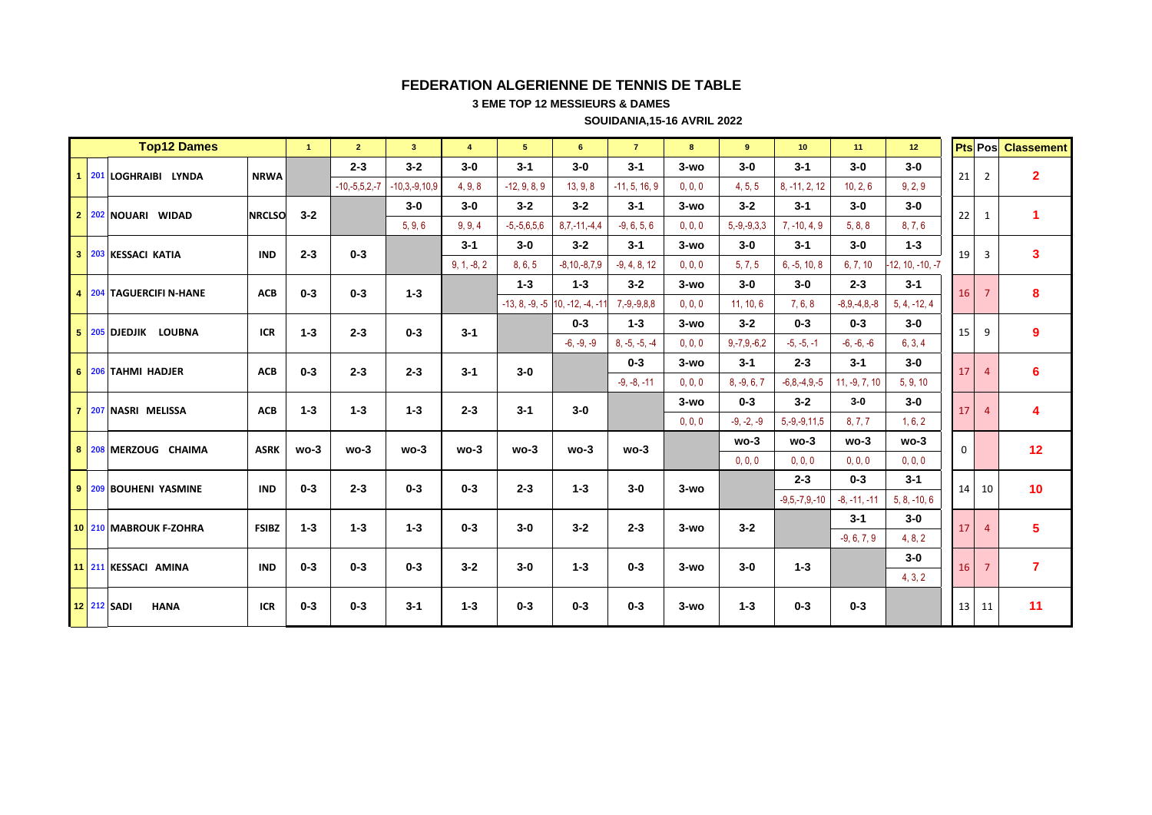3 EME TOP 12 MESSIEURS & DAMES

**SOUIDANIA, 15-16 AVRIL 2022** 

|                |     | <b>Top12 Dames</b>                |               | $\mathbf{1}$ | $\overline{2}$  | $\overline{\mathbf{3}}$ | $\overline{4}$ | 5 <sup>5</sup>    | 6                                   | $\overline{7}$    | 8       | 9                 | 10 <sup>°</sup>    | 11              | 12 <sup>2</sup>    |             | <b>Pts</b> Pos | <b>Classement</b>       |
|----------------|-----|-----------------------------------|---------------|--------------|-----------------|-------------------------|----------------|-------------------|-------------------------------------|-------------------|---------|-------------------|--------------------|-----------------|--------------------|-------------|----------------|-------------------------|
|                |     | 1 201 LOGHRAIBI LYNDA             | <b>NRWA</b>   |              | $2 - 3$         | $3 - 2$                 | $3-0$          | $3 - 1$           | $3-0$                               | $3 - 1$           | $3-wO$  | $3-0$             | $3 - 1$            | $3-0$           | $3-0$              | 21          | $\overline{2}$ | $\overline{2}$          |
|                |     |                                   |               |              | $-10,-5,5,2,-7$ | $-10,3,-9,10,9$         | 4, 9, 8        | $-12, 9, 8, 9$    | 13, 9, 8                            | $-11, 5, 16, 9$   | 0, 0, 0 | 4, 5, 5           | 8, -11, 2, 12      | 10.2.6          | 9.2.9              |             |                |                         |
| 2 <sup>1</sup> |     | 202 NOUARI WIDAD                  | <b>NRCLSO</b> | $3 - 2$      |                 | $3-0$                   | $3-0$          | $3 - 2$           | $3 - 2$                             | $3 - 1$           | $3-wO$  | $3 - 2$           | $3 - 1$            | $3-0$           | $3-0$              | 22          | 1              | $\blacktriangleleft$    |
|                |     |                                   |               |              |                 | 5, 9, 6                 | 9, 9, 4        | $-5, -5, 6, 5, 6$ | $8,7,-11,-4,4$                      | $-9, 6, 5, 6$     | 0, 0, 0 | $5, -9, -9, 3, 3$ | $7, -10, 4, 9$     | 5, 8, 8         | 8, 7, 6            |             |                |                         |
| $3-1$          |     | 203 KESSACI KATIA                 | <b>IND</b>    | $2 - 3$      | $0 - 3$         |                         | $3 - 1$        | $3-0$             | $3 - 2$                             | $3 - 1$           | $3-wO$  | $3-0$             | $3 - 1$            | $3-0$           | $1 - 3$            | 19          | 3              | $\mathbf{3}$            |
|                |     |                                   |               |              |                 |                         | $9, 1, -8, 2$  | 8, 6, 5           | $-8, 10, -8, 7, 9$                  | $-9, 4, 8, 12$    | 0, 0, 0 | 5, 7, 5           | $6, -5, 10, 8$     | 6, 7, 10        | $-12, 10, -10, -7$ |             |                |                         |
|                |     | 4 204 TAGUERCIFI N-HANE           | <b>ACB</b>    | $0 - 3$      | $0 - 3$         | $1 - 3$                 |                | $1 - 3$           | $1 - 3$                             | $3 - 2$           | $3-wO$  | $3-0$             | $3-0$              | $2 - 3$         | $3 - 1$            | 16          | $\overline{7}$ | 8                       |
|                |     |                                   |               |              |                 |                         |                |                   | $-13, 8, -9, -5$ 10, $-12, -4, -11$ | $7, -9, -9, 8, 8$ | 0, 0, 0 | 11, 10, 6         | 7.6.8              | $-8.9,-4.8,-8$  | $5, 4, -12, 4$     |             |                |                         |
| 5 <sup>1</sup> |     | 205 DJEDJIK<br><b>LOUBNA</b>      | <b>ICR</b>    | $1 - 3$      | $2 - 3$         | $0 - 3$                 | $3 - 1$        |                   | $0 - 3$                             | $1 - 3$           | $3-wO$  | $3 - 2$           | $0 - 3$            | $0 - 3$         | $3-0$              | 15          | 9              | 9                       |
|                |     |                                   |               |              |                 |                         |                |                   | $-6, -9, -9$                        | $8, -5, -5, -4$   | 0, 0, 0 | $9,-7,9,-6,2$     | $-5, -5, -1$       | $-6, -6, -6$    | 6, 3, 4            |             |                |                         |
| 6              |     | 206 TAHMI HADJER                  | <b>ACB</b>    | $0 - 3$      | $2 - 3$         | $2 - 3$                 | $3 - 1$        | $3 - 0$           |                                     | $0 - 3$           | $3-wO$  | $3 - 1$           | $2 - 3$            | $3 - 1$         | $3-0$              | 17          | $\Delta$       | 6                       |
|                |     |                                   |               |              |                 |                         |                |                   |                                     | $-9, -8, -11$     | 0, 0, 0 | $8, -9, 6, 7$     | $-6, 8, -4, 9, -5$ | $11, -9, 7, 10$ | 5, 9, 10           |             |                |                         |
| $\overline{7}$ |     | 207 NASRI MELISSA                 | <b>ACB</b>    | $1 - 3$      | $1 - 3$         | $1 - 3$                 | $2 - 3$        | $3 - 1$           | $3 - 0$                             |                   | $3-wO$  | $0 - 3$           | $3 - 2$            | $3-0$           | $3-0$              | 17          |                | $\overline{\mathbf{4}}$ |
|                |     |                                   |               |              |                 |                         |                |                   |                                     |                   | 0, 0, 0 | $-9, -2, -9$      | $5, -9, -9, 11, 5$ | 8, 7, 7         | 1, 6, 2            |             |                |                         |
| 8              | 208 | MERZOUG CHAIMA                    | <b>ASRK</b>   | $wo-3$       | $wo-3$          | $wo-3$                  | $wo-3$         | $wo-3$            | $wo-3$                              | $wo-3$            |         | $wo-3$            | $wo-3$             | $wo-3$          | $wo-3$             | $\mathbf 0$ |                | 12                      |
|                |     |                                   |               |              |                 |                         |                |                   |                                     |                   |         | 0.0.0             | 0.0.0              | 0, 0, 0         | 0.0.0              |             |                |                         |
| 9 <sup>1</sup> |     | 209 BOUHENI YASMINE               | <b>IND</b>    | $0 - 3$      | $2 - 3$         | $0 - 3$                 | $0 - 3$        | $2 - 3$           | $1 - 3$                             | $3-0$             | $3-wO$  |                   | $2 - 3$            | $0 - 3$         | $3 - 1$            | 14          | 10             | 10                      |
|                |     |                                   |               |              |                 |                         |                |                   |                                     |                   |         |                   | $-9.5 - 7.9 - 10$  | $-8, -11, -11$  | $5, 8, -10, 6$     |             |                |                         |
|                |     | 10 210 MABROUK F-ZOHRA            | <b>FSIBZ</b>  | $1 - 3$      | $1 - 3$         | $1 - 3$                 | $0 - 3$        | $3-0$             | $3 - 2$                             | $2 - 3$           | $3-wO$  | $3 - 2$           |                    | $3 - 1$         | $3-0$              | 17          |                | 5                       |
|                |     |                                   |               |              |                 |                         |                |                   |                                     |                   |         |                   |                    | $-9, 6, 7, 9$   | 4.8.2              |             |                |                         |
|                |     | 11 211 KESSACI AMINA              | <b>IND</b>    | $0 - 3$      | $0 - 3$         | $0 - 3$                 | $3 - 2$        | $3-0$             | $1 - 3$                             | $0 - 3$           | $3-wO$  | $3-0$             | $1 - 3$            |                 | $3-0$              | 16          | $\overline{7}$ | $\overline{7}$          |
|                |     |                                   |               |              |                 |                         |                |                   |                                     |                   |         |                   |                    |                 | 4, 3, 2            |             |                |                         |
|                |     | <b>12 212 SADI</b><br><b>HANA</b> | <b>ICR</b>    | $0 - 3$      | $0 - 3$         | $3 - 1$                 | $1 - 3$        | $0 - 3$           | $0 - 3$                             | $0 - 3$           | $3-wO$  | $1 - 3$           | $0 - 3$            | $0 - 3$         |                    | 13          | 11             | 11                      |
|                |     |                                   |               |              |                 |                         |                |                   |                                     |                   |         |                   |                    |                 |                    |             |                |                         |